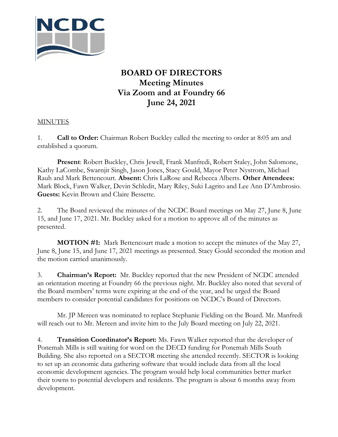

## **BOARD OF DIRECTORS Meeting Minutes Via Zoom and at Foundry 66 June 24, 2021**

## **MINUTES**

1. **Call to Order:** Chairman Robert Buckley called the meeting to order at 8:05 am and established a quorum.

**Present**: Robert Buckley, Chris Jewell, Frank Manfredi, Robert Staley, John Salomone, Kathy LaCombe, Swarnjit Singh, Jason Jones, Stacy Gould, Mayor Peter Nystrom, Michael Rauh and Mark Bettencourt. **Absent:** Chris LaRose and Rebecca Alberts. **Other Attendees:** Mark Block, Fawn Walker, Devin Schledit, Mary Riley, Suki Lagrito and Lee Ann D'Ambrosio. **Guests:** Kevin Brown and Claire Bessette.

2. The Board reviewed the minutes of the NCDC Board meetings on May 27, June 8, June 15, and June 17, 2021. Mr. Buckley asked for a motion to approve all of the minutes as presented.

**MOTION #1:** Mark Bettencourt made a motion to accept the minutes of the May 27, June 8, June 15, and June 17, 2021 meetings as presented. Stacy Gould seconded the motion and the motion carried unanimously.

3. **Chairman's Report:** Mr. Buckley reported that the new President of NCDC attended an orientation meeting at Foundry 66 the previous night. Mr. Buckley also noted that several of the Board members' terms were expiring at the end of the year, and he urged the Board members to consider potential candidates for positions on NCDC's Board of Directors.

Mr. JP Mereen was nominated to replace Stephanie Fielding on the Board. Mr. Manfredi will reach out to Mr. Mereen and invite him to the July Board meeting on July 22, 2021.

4. **Transition Coordinator's Report:** Ms. Fawn Walker reported that the developer of Ponemah Mills is still waiting for word on the DECD funding for Ponemah Mills South Building. She also reported on a SECTOR meeting she attended recently. SECTOR is looking to set up an economic data gathering software that would include data from all the local economic development agencies. The program would help local communities better market their towns to potential developers and residents. The program is about 6 months away from development.